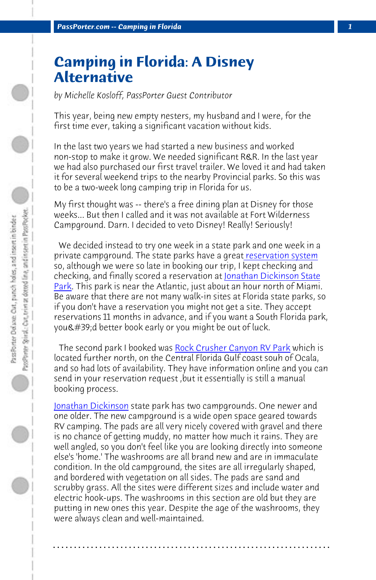*PassPorter.com -- Camping in Florida 1*

## **Camping in Florida: A Disney Alternative**

*by Michelle Kosloff, PassPorter Guest Contributor*

[This](http://www.floridastateparks.org/jonathandickinson/) year, being new empty nesters, my husband and I were, for the first time ever, taking a significant vacation without kids.

In the last two years we had started a new business and worked non-stop to make it grow. We needed significant R&R. In the last year we had also purchased our first travel trailer. We loved it and had taken it for several weekend trips to t[he nearby Provincial parks. So t](http://www.rockcrushercanyon.com/)his was to be a two-week long camping trip in Florida for us.

My first thought was -- there's a free dining plan at Disney for those weeks... But then I called and it was not available at Fort Wilderness Campground. Darn. I decided to veto Disney! Really! Seriously!

 We decided instead to try one week in a state park and one week in a private campground. The state parks have a great reservation system so, although we were so late in booking our trip, I kept checking and checking, and finally scored a reservation at Jonathan Dickinson State Park. This park is near the Atlantic, just about an hour north of Miami. Be aware that there are not many walk-in sites at Florida state parks, so if you don't have a reservation you might not get a site. They accept reservations 11 months in advance, and if you want a South Florida park, you'd better book early or you might be out of luck.

 The second park I booked was Rock Crusher Canyon RV Park which is located further north, on the Central Florida Gulf coast souh of Ocala, and so had lots of availability. They have information online and you can send in your reservation request ,but it essentially is still a manual booking process.

Jonathan Dickinson state park has two campgrounds. One newer and one older. The new campground is a wide open space geared towards RV camping. The pads are all very nicely covered with gravel and there is no chance of getting muddy, no matter how much it rains. They are well angled, so you don't feel like you are looking directly into someone else's 'home.' The washrooms are all brand new and are in immaculate condition. In the old campground, the sites are all irregularly shaped, and bordered with vegetation on all sides. The pads are sand and scrubby grass. All the sites were different sizes and include water and electric hook-ups. The washrooms in this section are old but they are putting in new ones this year. Despite the age of the washrooms, they were always clean and well-maintained.

**. . . . . . . . . . . . . . . . . . . . . . . . . . . . . . . . . . . . . . . . . . . . . . . . . . . . . . . . . . . . . . . . . .**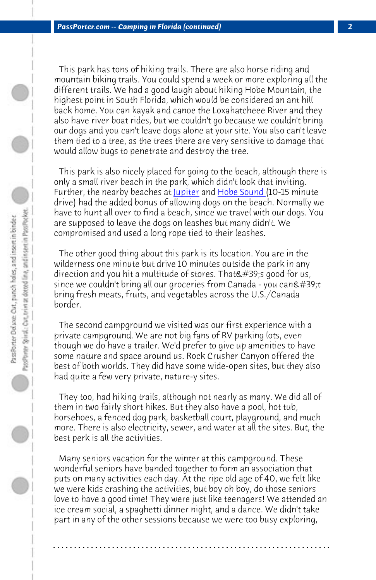*PassPorter.com -- Camping in Flori[da \(cont](http://www.pbcgov.com/parks/locations/jupiterbeach.htm)inue[d\)](http://www.hobesound.org/visitor/beaches.htm) 2*

 This park has tons of hiking trails. There are also horse riding and mountain biking trails. You could spend a week or more exploring all the different trails. We had a good laugh about hiking Hobe Mountain, the highest point in South Florida, which would be considered an ant hill back home. You can kayak and canoe the Loxahatcheee River and they also have river boat rides, but we couldn't go because we couldn't bring our dogs and you can't leave dogs alone at your site. You also can't leave them tied to a tree, as the trees there are very sensitive to damage that would allow bugs to penetrate and destroy the tree.

 This park is also nicely placed for going to the beach, although there is only a small river beach in the park, which didn't look that inviting. Further, the nearby beaches at <u>Jupiter</u> and Hobe Sound (10-15 minute drive) had the added bonus of allowing dogs on the beach. Normally we have to hunt all over to find a beach, since we travel with our dogs. You are supposed to leave the dogs on leashes but many didn't. We compromised and used a long rope tied to their leashes.

 The other good thing about this park is its location. You are in the wilderness one minute but drive 10 minutes outside the park in any direction and you hit a multitude of stores. That  $\&\#39$ ; good for us, since we couldn't bring all our groceries from Canada - you can't bring fresh meats, fruits, and vegetables across the U.S./Canada border.

 The second campground we visited was our first experience with a private campground. We are not big fans of RV parking lots, even though we do have a trailer. We'd prefer to give up amenities to have some nature and space around us. Rock Crusher Canyon offered the best of both worlds. They did have some wide-open sites, but they also had quite a few very private, nature-y sites.

 They too, had hiking trails, although not nearly as many. We did all of them in two fairly short hikes. But they also have a pool, hot tub, horsehoes, a fenced dog park, basketball court, playground, and much more. There is also electricity, sewer, and water at all the sites. But, the best perk is all the activities.

 Many seniors vacation for the winter at this campground. These wonderful seniors have banded together to form an association that puts on many activities each day. At the ripe old age of 40, we felt like we were kids crashing the activities, but boy oh boy, do those seniors love to have a good time! They were just like teenagers! We attended an ice cream social, a spaghetti dinner night, and a dance. We didn't take part in any of the other sessions because we were too busy exploring,

**. . . . . . . . . . . . . . . . . . . . . . . . . . . . . . . . . . . . . . . . . . . . . . . . . . . . . . . . . . . . . . . . . .**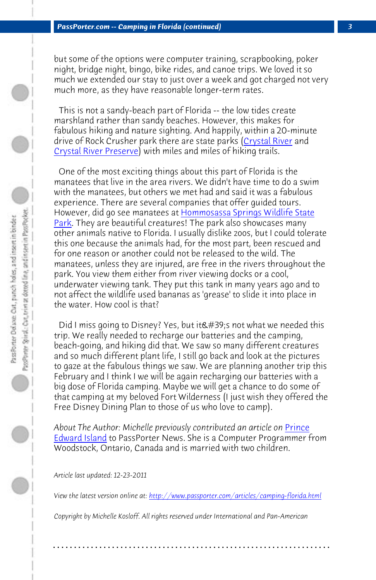[but s](http://www.floridastateparks.org/homosassasprings/default.cfm)ome of the options were computer training, scrapbooking, poker night, bridge night, bingo, bike rides, and canoe trips. We loved it so much we extended our stay to just over a week and got charged not very much more, as they have reasonable longer-term rates.

 This is not a sandy-beach part of Florida -- the low tides create marshland rather than sandy beaches. However, this makes for fabulous hiking and nature sighting. And happily, within a 20-minute drive of Rock Crusher park there are state parks (Crystal River and Crystal River Preserve) with miles and miles of hiking trails.

 One of the most exciting things about this part of Florida is the manatees that live in the area rivers. We didn't have time to do a swim with the manatees, but others we met had and said it was a fabulous experience. There are several companies that offer guided tours. However, did go see manatees at Hommosassa Springs Wildlife State Park. They are beautiful creatures! The park also showcases many other animals native to Florida. I usually dislike zoos, but I could tolerate this one because the animals had, for the most part, been rescued and for one reason or another could not be released to the wild. [The](http://www.passporter.com/articles/prince-edward-island-travel-feature.html) [manatees, unl](http://www.passporter.com/articles/prince-edward-island-travel-feature.html)ess they are injured, are free in the rivers throughout the park. You view them either from river viewing docks or a cool, underwater viewing tank. They put this tank in many years ago and to not affect the wildlife used bananas as 'grease' to slide it into place in the water. How cool is that?

Did I miss going to Disney? Yes, but it ' snot what we needed this trip. We really needed to recharge our batteries and the camping, beach-going, and hiking did that. We saw so many different creatures and so much different plant life, I still go back and look at the pictures to gaze at the fabulous things we saw. We are planning another trip this February and I think I we will be again recharging our batteries with a big dose of Florida camping. Maybe we will get a chance to do some of that camping at my beloved Fort Wilderness (I just wish they offered the Free Disney Dining Plan to those of us who love to camp).

About The Author: Michelle previously contributed an article on **Prince Edward Island to PassPorter News. She is a Computer Programmer from** Woodstock, Ontario, Canada and is married with two children. 

*Article last updated: 12-23-2011*

*View the latest version online at: http://www.passporter.com/articles/camping-florida.html*

**. . . . . . . . . . . . . . . . . . . . . . . . . . . . . . . . . . . . . . . . . . . . . . . . . . . . . . . . . . . . . . . . . .**

*Copyright by Michelle Kosloff. All rights reserved under International and Pan-American*